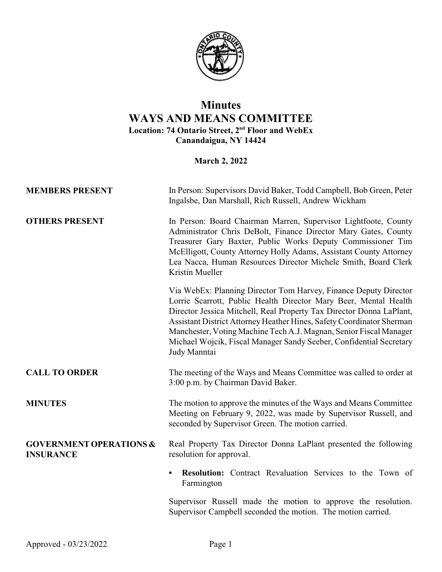

## **Minutes WAYS AND MEANS COMMITTEE Location: 74 Ontario Street, 2nd Floor and WebEx Canandaigua, NY 14424**

## **March 2, 2022**

| <b>MEMBERS PRESENT</b>                                 | In Person: Supervisors David Baker, Todd Campbell, Bob Green, Peter<br>Ingalsbe, Dan Marshall, Rich Russell, Andrew Wickham                                                                                                                                                                                                                                                                                                                        |
|--------------------------------------------------------|----------------------------------------------------------------------------------------------------------------------------------------------------------------------------------------------------------------------------------------------------------------------------------------------------------------------------------------------------------------------------------------------------------------------------------------------------|
| <b>OTHERS PRESENT</b>                                  | In Person: Board Chairman Marren, Supervisor Lightfoote, County<br>Administrator Chris DeBolt, Finance Director Mary Gates, County<br>Treasurer Gary Baxter, Public Works Deputy Commissioner Tim<br>McElligott, County Attorney Holly Adams, Assistant County Attorney<br>Lea Nacca, Human Resources Director Michele Smith, Board Clerk<br>Kristin Mueller                                                                                       |
|                                                        | Via WebEx: Planning Director Tom Harvey, Finance Deputy Director<br>Lorrie Scarrott, Public Health Director Mary Beer, Mental Health<br>Director Jessica Mitchell, Real Property Tax Director Donna LaPlant,<br>Assistant District Attorney Heather Hines, Safety Coordinator Sherman<br>Manchester, Voting Machine Tech A.J. Magnan, Senior Fiscal Manager<br>Michael Wojcik, Fiscal Manager Sandy Seeber, Confidential Secretary<br>Judy Manntai |
| <b>CALL TO ORDER</b>                                   | The meeting of the Ways and Means Committee was called to order at<br>3:00 p.m. by Chairman David Baker.                                                                                                                                                                                                                                                                                                                                           |
| <b>MINUTES</b>                                         | The motion to approve the minutes of the Ways and Means Committee<br>Meeting on February 9, 2022, was made by Supervisor Russell, and<br>seconded by Supervisor Green. The motion carried.                                                                                                                                                                                                                                                         |
| <b>GOVERNMENT OPERATIONS &amp;</b><br><b>INSURANCE</b> | Real Property Tax Director Donna LaPlant presented the following<br>resolution for approval.                                                                                                                                                                                                                                                                                                                                                       |
|                                                        | Resolution: Contract Revaluation Services to the Town of<br>Farmington                                                                                                                                                                                                                                                                                                                                                                             |
|                                                        | Supervisor Russell made the motion to approve the resolution.<br>Supervisor Campbell seconded the motion. The motion carried.                                                                                                                                                                                                                                                                                                                      |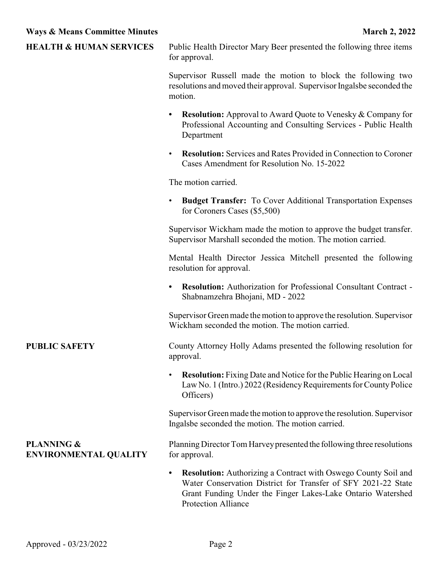| <b>HEALTH &amp; HUMAN SERVICES</b>                    | Public Health Director Mary Beer presented the following three items<br>for approval.                                                                                                                                                    |
|-------------------------------------------------------|------------------------------------------------------------------------------------------------------------------------------------------------------------------------------------------------------------------------------------------|
|                                                       | Supervisor Russell made the motion to block the following two<br>resolutions and moved their approval. Supervisor Ingalsbe seconded the<br>motion.                                                                                       |
|                                                       | <b>Resolution:</b> Approval to Award Quote to Venesky & Company for<br>٠<br>Professional Accounting and Consulting Services - Public Health<br>Department                                                                                |
|                                                       | <b>Resolution:</b> Services and Rates Provided in Connection to Coroner<br>$\bullet$<br>Cases Amendment for Resolution No. 15-2022                                                                                                       |
|                                                       | The motion carried.                                                                                                                                                                                                                      |
|                                                       | <b>Budget Transfer:</b> To Cover Additional Transportation Expenses<br>$\bullet$<br>for Coroners Cases (\$5,500)                                                                                                                         |
|                                                       | Supervisor Wickham made the motion to approve the budget transfer.<br>Supervisor Marshall seconded the motion. The motion carried.                                                                                                       |
|                                                       | Mental Health Director Jessica Mitchell presented the following<br>resolution for approval.                                                                                                                                              |
|                                                       | <b>Resolution:</b> Authorization for Professional Consultant Contract -<br>Shabnamzehra Bhojani, MD - 2022                                                                                                                               |
|                                                       | Supervisor Green made the motion to approve the resolution. Supervisor<br>Wickham seconded the motion. The motion carried.                                                                                                               |
| <b>PUBLIC SAFETY</b>                                  | County Attorney Holly Adams presented the following resolution for<br>approval.                                                                                                                                                          |
|                                                       | <b>Resolution:</b> Fixing Date and Notice for the Public Hearing on Local<br>$\bullet$<br>Law No. 1 (Intro.) 2022 (Residency Requirements for County Police<br>Officers)                                                                 |
|                                                       | Supervisor Green made the motion to approve the resolution. Supervisor<br>Ingalsbe seconded the motion. The motion carried.                                                                                                              |
| <b>PLANNING &amp;</b><br><b>ENVIRONMENTAL QUALITY</b> | Planning Director Tom Harvey presented the following three resolutions<br>for approval.                                                                                                                                                  |
|                                                       | <b>Resolution:</b> Authorizing a Contract with Oswego County Soil and<br>٠<br>Water Conservation District for Transfer of SFY 2021-22 State<br>Grant Funding Under the Finger Lakes-Lake Ontario Watershed<br><b>Protection Alliance</b> |
|                                                       |                                                                                                                                                                                                                                          |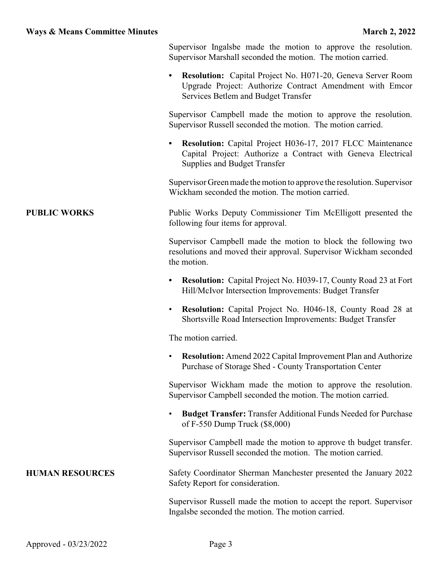| <b>Ways &amp; Means Committee Minutes</b> | <b>March 2, 2022</b>                                                                                                                                                     |
|-------------------------------------------|--------------------------------------------------------------------------------------------------------------------------------------------------------------------------|
|                                           | Supervisor Ingalsbe made the motion to approve the resolution.<br>Supervisor Marshall seconded the motion. The motion carried.                                           |
|                                           | <b>Resolution:</b> Capital Project No. H071-20, Geneva Server Room<br>Upgrade Project: Authorize Contract Amendment with Emcor<br>Services Betlem and Budget Transfer    |
|                                           | Supervisor Campbell made the motion to approve the resolution.<br>Supervisor Russell seconded the motion. The motion carried.                                            |
|                                           | <b>Resolution:</b> Capital Project H036-17, 2017 FLCC Maintenance<br>Capital Project: Authorize a Contract with Geneva Electrical<br><b>Supplies and Budget Transfer</b> |
|                                           | Supervisor Green made the motion to approve the resolution. Supervisor<br>Wickham seconded the motion. The motion carried.                                               |
| <b>PUBLIC WORKS</b>                       | Public Works Deputy Commissioner Tim McElligott presented the<br>following four items for approval.                                                                      |
|                                           | Supervisor Campbell made the motion to block the following two<br>resolutions and moved their approval. Supervisor Wickham seconded<br>the motion.                       |
|                                           | <b>Resolution:</b> Capital Project No. H039-17, County Road 23 at Fort<br>$\bullet$<br>Hill/McIvor Intersection Improvements: Budget Transfer                            |
|                                           | <b>Resolution:</b> Capital Project No. H046-18, County Road 28 at<br>Shortsville Road Intersection Improvements: Budget Transfer                                         |

The motion carried.

• **Resolution:** Amend 2022 Capital Improvement Plan and Authorize Purchase of Storage Shed - County Transportation Center

Supervisor Wickham made the motion to approve the resolution. Supervisor Campbell seconded the motion. The motion carried.

• **Budget Transfer:** Transfer Additional Funds Needed for Purchase of F-550 Dump Truck (\$8,000)

Supervisor Campbell made the motion to approve th budget transfer. Supervisor Russell seconded the motion. The motion carried.

**HUMAN RESOURCES** Safety Coordinator Sherman Manchester presented the January 2022 Safety Report for consideration.

> Supervisor Russell made the motion to accept the report. Supervisor Ingalsbe seconded the motion. The motion carried.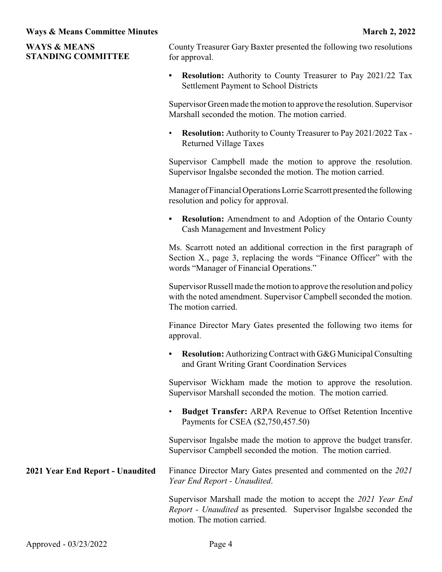| <b>WAYS &amp; MEANS</b><br><b>STANDING COMMITTEE</b> | County Treasurer Gary Baxter presented the following two resolutions<br>for approval.                                                                                                   |
|------------------------------------------------------|-----------------------------------------------------------------------------------------------------------------------------------------------------------------------------------------|
|                                                      | <b>Resolution:</b> Authority to County Treasurer to Pay 2021/22 Tax<br>٠<br><b>Settlement Payment to School Districts</b>                                                               |
|                                                      | Supervisor Green made the motion to approve the resolution. Supervisor<br>Marshall seconded the motion. The motion carried.                                                             |
|                                                      | <b>Resolution:</b> Authority to County Treasurer to Pay 2021/2022 Tax -<br>$\bullet$<br><b>Returned Village Taxes</b>                                                                   |
|                                                      | Supervisor Campbell made the motion to approve the resolution.<br>Supervisor Ingalsbe seconded the motion. The motion carried.                                                          |
|                                                      | Manager of Financial Operations Lorrie Scarrott presented the following<br>resolution and policy for approval.                                                                          |
|                                                      | <b>Resolution:</b> Amendment to and Adoption of the Ontario County<br>$\bullet$<br>Cash Management and Investment Policy                                                                |
|                                                      | Ms. Scarrott noted an additional correction in the first paragraph of<br>Section X., page 3, replacing the words "Finance Officer" with the<br>words "Manager of Financial Operations." |
|                                                      | Supervisor Russell made the motion to approve the resolution and policy<br>with the noted amendment. Supervisor Campbell seconded the motion.<br>The motion carried.                    |
|                                                      | Finance Director Mary Gates presented the following two items for<br>approval.                                                                                                          |
|                                                      | <b>Resolution:</b> Authorizing Contract with G&G Municipal Consulting<br>$\bullet$<br>and Grant Writing Grant Coordination Services                                                     |
|                                                      | Supervisor Wickham made the motion to approve the resolution.<br>Supervisor Marshall seconded the motion. The motion carried.                                                           |
|                                                      | <b>Budget Transfer:</b> ARPA Revenue to Offset Retention Incentive<br>Payments for CSEA (\$2,750,457.50)                                                                                |
|                                                      | Supervisor Ingalsbe made the motion to approve the budget transfer.<br>Supervisor Campbell seconded the motion. The motion carried.                                                     |
| 2021 Year End Report - Unaudited                     | Finance Director Mary Gates presented and commented on the 2021<br>Year End Report - Unaudited.                                                                                         |
|                                                      | Supervisor Marshall made the motion to accept the 2021 Year End<br>Report - Unaudited as presented. Supervisor Ingalsbe seconded the<br>motion. The motion carried.                     |